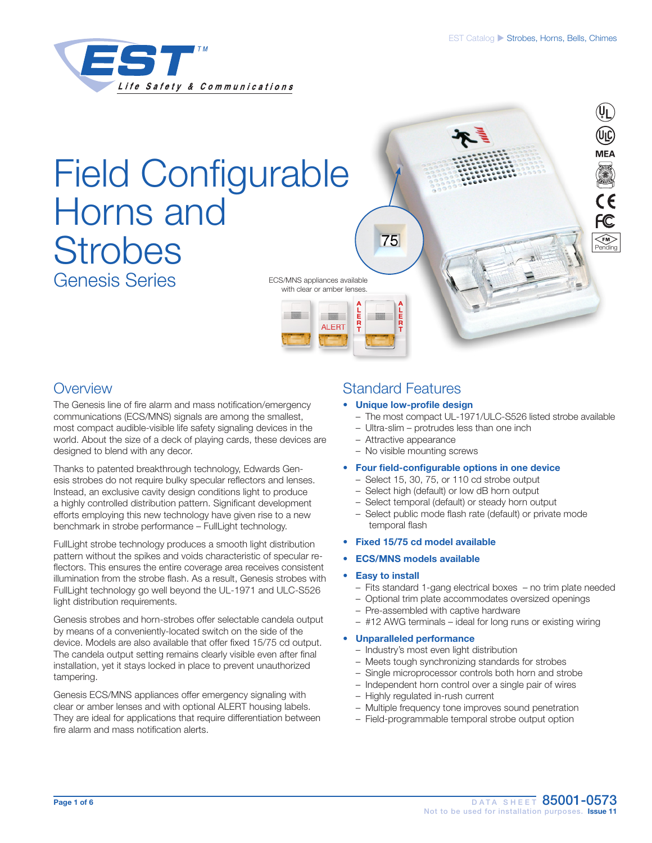

# Field Configurable Horns and **Strobes** Genesis Series



### **Overview**

The Genesis line of fire alarm and mass notification/emergency communications (ECS/MNS) signals are among the smallest, most compact audible-visible life safety signaling devices in the world. About the size of a deck of playing cards, these devices are designed to blend with any decor.

Thanks to patented breakthrough technology, Edwards Genesis strobes do not require bulky specular reflectors and lenses. Instead, an exclusive cavity design conditions light to produce a highly controlled distribution pattern. Significant development efforts employing this new technology have given rise to a new benchmark in strobe performance – FullLight technology.

FullLight strobe technology produces a smooth light distribution pattern without the spikes and voids characteristic of specular reflectors. This ensures the entire coverage area receives consistent illumination from the strobe flash. As a result, Genesis strobes with FullLight technology go well beyond the UL-1971 and ULC-S526 light distribution requirements.

Genesis strobes and horn-strobes offer selectable candela output by means of a conveniently-located switch on the side of the device. Models are also available that offer fixed 15/75 cd output. The candela output setting remains clearly visible even after final installation, yet it stays locked in place to prevent unauthorized tampering.

Genesis ECS/MNS appliances offer emergency signaling with clear or amber lenses and with optional ALERT housing labels. They are ideal for applications that require differentiation between fire alarm and mass notification alerts.

### Standard Features

#### Unique low-profile design

- The most compact UL-1971/ULC-S526 listed strobe available
- Ultra-slim protrudes less than one inch
- Attractive appearance
- No visible mounting screws
- Four field-configurable options in one device
	- Select 15, 30, 75, or 110 cd strobe output
	- Select high (default) or low dB horn output
	- Select temporal (default) or steady horn output
	- Select public mode flash rate (default) or private mode temporal flash
- Fixed 15/75 cd model available
- ECS/MNS models available

#### **Easy to install**

- Fits standard 1-gang electrical boxes no trim plate needed
- Optional trim plate accommodates oversized openings
- Pre-assembled with captive hardware
- #12 AWG terminals ideal for long runs or existing wiring

#### • Unparalleled performance

- Industry's most even light distribution
- Meets tough synchronizing standards for strobes
- Single microprocessor controls both horn and strobe
- Independent horn control over a single pair of wires
- Highly regulated in-rush current
- Multiple frequency tone improves sound penetration
- Field-programmable temporal strobe output option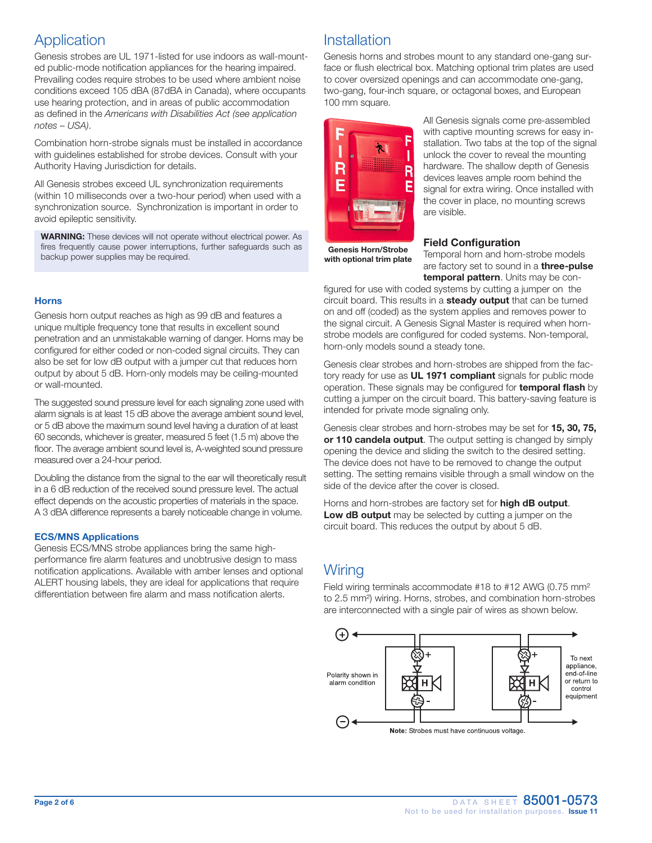### Application

Genesis strobes are UL 1971-listed for use indoors as wall-mounted public-mode notification appliances for the hearing impaired. Prevailing codes require strobes to be used where ambient noise conditions exceed 105 dBA (87dBA in Canada), where occupants use hearing protection, and in areas of public accommodation as defined in the *Americans with Disabilities Act (see application notes – USA)*.

Combination horn-strobe signals must be installed in accordance with guidelines established for strobe devices. Consult with your Authority Having Jurisdiction for details.

All Genesis strobes exceed UL synchronization requirements (within 10 milliseconds over a two-hour period) when used with a synchronization source. Synchronization is important in order to avoid epileptic sensitivity.

WARNING: These devices will not operate without electrical power. As fires frequently cause power interruptions, further safeguards such as backup power supplies may be required.

#### **Horns**

Genesis horn output reaches as high as 99 dB and features a unique multiple frequency tone that results in excellent sound penetration and an unmistakable warning of danger. Horns may be configured for either coded or non-coded signal circuits. They can also be set for low dB output with a jumper cut that reduces horn output by about 5 dB. Horn-only models may be ceiling-mounted or wall-mounted.

The suggested sound pressure level for each signaling zone used with alarm signals is at least 15 dB above the average ambient sound level, or 5 dB above the maximum sound level having a duration of at least 60 seconds, whichever is greater, measured 5 feet (1.5 m) above the floor. The average ambient sound level is, A-weighted sound pressure measured over a 24-hour period.

Doubling the distance from the signal to the ear will theoretically result in a 6 dB reduction of the received sound pressure level. The actual effect depends on the acoustic properties of materials in the space. A 3 dBA difference represents a barely noticeable change in volume.

#### ECS/MNS Applications

Genesis ECS/MNS strobe appliances bring the same highperformance fire alarm features and unobtrusive design to mass notification applications. Available with amber lenses and optional ALERT housing labels, they are ideal for applications that require differentiation between fire alarm and mass notification alerts.

### Installation

Genesis horns and strobes mount to any standard one-gang surface or flush electrical box. Matching optional trim plates are used to cover oversized openings and can accommodate one-gang, two-gang, four-inch square, or octagonal boxes, and European 100 mm square.



All Genesis signals come pre-assembled with captive mounting screws for easy installation. Two tabs at the top of the signal unlock the cover to reveal the mounting hardware. The shallow depth of Genesis devices leaves ample room behind the signal for extra wiring. Once installed with the cover in place, no mounting screws are visible.

Genesis Horn/Strobe with optional trim plate

#### Field Configuration

Temporal horn and horn-strobe models are factory set to sound in a **three-pulse** temporal pattern. Units may be con-

figured for use with coded systems by cutting a jumper on the circuit board. This results in a **steady output** that can be turned on and off (coded) as the system applies and removes power to the signal circuit. A Genesis Signal Master is required when hornstrobe models are configured for coded systems. Non-temporal, horn-only models sound a steady tone.

Genesis clear strobes and horn-strobes are shipped from the factory ready for use as **UL 1971 compliant** signals for public mode operation. These signals may be configured for **temporal flash** by cutting a jumper on the circuit board. This battery-saving feature is intended for private mode signaling only.

Genesis clear strobes and horn-strobes may be set for 15, 30, 75, or 110 candela output. The output setting is changed by simply opening the device and sliding the switch to the desired setting. The device does not have to be removed to change the output setting. The setting remains visible through a small window on the side of the device after the cover is closed.

Horns and horn-strobes are factory set for **high dB output**. Low dB output may be selected by cutting a jumper on the circuit board. This reduces the output by about 5 dB.

### **Wiring**

Field wiring terminals accommodate #18 to #12 AWG (0.75 mm<sup>2</sup>) to 2.5 mm²) wiring. Horns, strobes, and combination horn-strobes are interconnected with a single pair of wires as shown below.

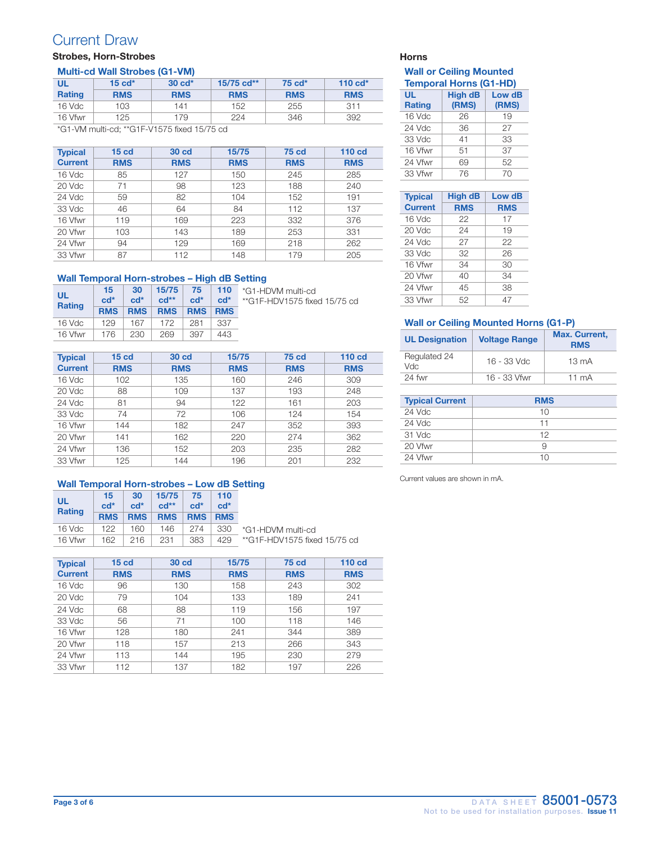### Current Draw

### Strobes, Horn-Strobes **Horns** Horns **Horns** Horns

#### Multi-cd Wall Strobes (G1-VM)

| UL<br><b>Rating</b> | $15 \text{ cd}^*$<br><b>RMS</b> | $30 \text{ cd}^*$<br><b>RMS</b> | 15/75 cd**<br><b>RMS</b> | 75 cd*<br><b>RMS</b> | 110 $cd*$<br><b>RMS</b> |
|---------------------|---------------------------------|---------------------------------|--------------------------|----------------------|-------------------------|
| $16$ Vdc            | 103                             | 141                             | 152                      | 255                  | 311                     |
| 16 Vfwr             | 125                             | 179                             | 224                      | 346                  | 392                     |

\*G1-VM multi-cd; \*\*G1F-V1575 fixed 15/75 cd

| <b>Typical</b> | 15 <sub>cd</sub> | 30 cd      | 15/75      | 75 cd      | 110 <sub>cd</sub> |
|----------------|------------------|------------|------------|------------|-------------------|
| <b>Current</b> | <b>RMS</b>       | <b>RMS</b> | <b>RMS</b> | <b>RMS</b> | <b>RMS</b>        |
| 16 Vdc         | 85               | 127        | 150        | 245        | 285               |
| 20 Vdc         | 71               | 98         | 123        | 188        | 240               |
| 24 Vdc         | 59               | 82         | 104        | 152        | 191               |
| 33 Vdc         | 46               | 64         | 84         | 112        | 137               |
| 16 Vfwr        | 119              | 169        | 223        | 332        | 376               |
| 20 Vfwr        | 103              | 143        | 189        | 253        | 331               |
| 24 Vfwr        | 94               | 129        | 169        | 218        | 262               |
| 33 Vfwr        | 87               | 112        | 148        | 179        | 205               |

#### Wall Temporal Horn-strobes - High dB Setting

| ul      | 15         | 30         |            |            |            | 15/75 75 110 $\sqrt[*]{61}$ -HDVM multi-cd |
|---------|------------|------------|------------|------------|------------|--------------------------------------------|
| Rating  | $c d^*$    | $c d^*$    | $cd**$     | $c d^*$    | $cd^*$     | **G1F-HDV1575 fixed 15/75 cd               |
|         | <b>RMS</b> | <b>RMS</b> | <b>RMS</b> | <b>RMS</b> | <b>RMS</b> |                                            |
| 16 Vdc  | 129        | 167        | 172        | 281        | 337        |                                            |
| 16 Vfwr | 176        | 230        | 269        | 397        | 443        |                                            |

| <b>Typical</b> | 15 <sub>cd</sub> | <b>30 cd</b> | 15/75      | <b>75 cd</b> | 110 cd     |
|----------------|------------------|--------------|------------|--------------|------------|
| <b>Current</b> | <b>RMS</b>       | <b>RMS</b>   | <b>RMS</b> | <b>RMS</b>   | <b>RMS</b> |
| 16 Vdc         | 102              | 135          | 160        | 246          | 309        |
| 20 Vdc         | 88               | 109          | 137        | 193          | 248        |
| 24 Vdc         | 81               | 94           | 122        | 161          | 203        |
| 33 Vdc         | 74               | 72           | 106        | 124          | 154        |
| 16 Vfwr        | 144              | 182          | 247        | 352          | 393        |
| 20 Vfwr        | 141              | 162          | 220        | 274          | 362        |
| 24 Vfwr        | 136              | 152          | 203        | 235          | 282        |
| 33 Vfwr        | 125              | 144          | 196        | 201          | 232        |

#### Wall Temporal Horn-strobes - Low dB Setting

| UL<br>Rating | 15<br>$c d^*$ | 30<br>$cd*$ | 15/75<br>$cd**$ | 75<br>$c d^*$ | 110<br>$c d^*$ |                              |
|--------------|---------------|-------------|-----------------|---------------|----------------|------------------------------|
|              | <b>RMS</b>    | <b>RMS</b>  | <b>RMS</b>      | <b>RMS</b>    | <b>RMS</b>     |                              |
| 16 Vdc       | 122           | 160         | 146             | 274           | 330            | *G1-HDVM multi-cd            |
| 16 Vfwr      | 162           | 216         | 231             | 383           | 429            | **G1F-HDV1575 fixed 15/75 cd |

| <b>Typical</b> | 15 <sub>cd</sub> | 30 <sub>cd</sub> | 15/75      | <b>75 cd</b> | 110 cd     |
|----------------|------------------|------------------|------------|--------------|------------|
| <b>Current</b> | <b>RMS</b>       | <b>RMS</b>       | <b>RMS</b> | <b>RMS</b>   | <b>RMS</b> |
| 16 Vdc         | 96               | 130              | 158        | 243          | 302        |
| 20 Vdc         | 79               | 104              | 133        | 189          | 241        |
| 24 Vdc         | 68               | 88               | 119        | 156          | 197        |
| 33 Vdc         | 56               | 71               | 100        | 118          | 146        |
| 16 Vfwr        | 128              | 180              | 241        | 344          | 389        |
| 20 Vfwr        | 118              | 157              | 213        | 266          | 343        |
| 24 Vfwr        | 113              | 144              | 195        | 230          | 279        |
| 33 Vfwr        | 112              | 137              | 182        | 197          | 226        |

#### Wall or Ceiling Mounted Temporal Horns (G1-HD)

| UL<br><b>Rating</b> | <b>High dB</b><br>(RMS) | Low dB<br>(RMS) |  |
|---------------------|-------------------------|-----------------|--|
| 16 Vdc              | 26                      | 19              |  |
| 24 Vdc              | 36                      | 27              |  |
| 33 Vdc              | 41                      | 33              |  |
| 16 Vfwr             | 51                      | 37              |  |
| 24 Vfwr             | 69                      | 52              |  |
| 33 Vfwr             | 76                      | 70              |  |

| <b>Typical</b> | High dB    | Low dB     |
|----------------|------------|------------|
| <b>Current</b> | <b>RMS</b> | <b>RMS</b> |
| 16 Vdc         | 22         | 17         |
| 20 Vdc         | 24         | 19         |
| 24 Vdc         | 27         | 22         |
| 33 Vdc         | 32         | 26         |
| 16 Vfwr        | 34         | 30         |
| 20 Vfwr        | 40         | 34         |
| 24 Vfwr        | 45         | 38         |
| 33 Vfwr        | 52         | 47         |

#### Wall or Ceiling Mounted Horns (G1-P)

| <b>UL Designation</b> | <b>Voltage Range</b> | Max. Current,<br><b>RMS</b> |
|-----------------------|----------------------|-----------------------------|
| Regulated 24<br>Vdc.  | $16 - 33$ Vdc        | $13 \text{ mA}$             |
| 24 fwr                | 16 - 33 Vfwr         | 11 $mA$                     |

| <b>Typical Current</b> | <b>RMS</b> |
|------------------------|------------|
| 24 Vdc                 | 10         |
| 24 Vdc                 | 11         |
| 31 Vdc                 | 12         |
| 20 Vfwr                |            |
| 24 Vfwr                | 10         |

Current values are shown in mA.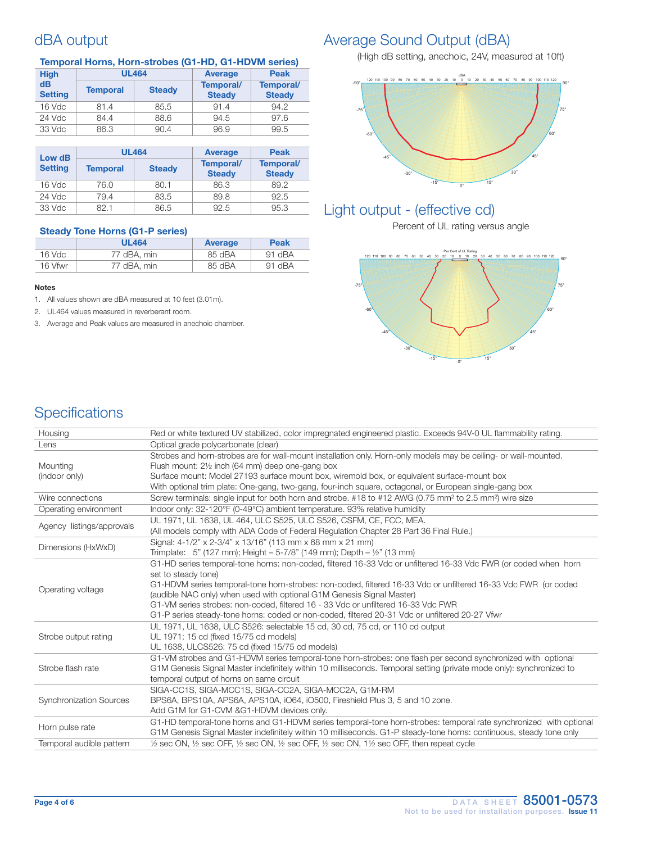### dBA output

| <b>High</b>                  |                 | <b>UL464</b>  | <b>Average</b>             | <b>Peak</b>                |
|------------------------------|-----------------|---------------|----------------------------|----------------------------|
| d <b>B</b><br><b>Setting</b> | <b>Temporal</b> | <b>Steady</b> | Temporal/<br><b>Steady</b> | Temporal/<br><b>Steady</b> |
| 16 Vdc                       | 81.4            | 85.5          | 91.4                       | 94.2                       |
| 24 Vdc                       | 84.4            | 88.6          | 94.5                       | 97.6                       |
| 33 Vdc                       | 86.3            | 90.4          | 96.9                       | 99.5                       |

| Low dB<br><b>Setting</b> |                 | <b>UL464</b>  | <b>Average</b>             | <b>Peak</b>                |
|--------------------------|-----------------|---------------|----------------------------|----------------------------|
|                          | <b>Temporal</b> | <b>Steady</b> | Temporal/<br><b>Steady</b> | Temporal/<br><b>Steady</b> |
| 16 Vdc                   | 76.0            | 80.1          | 86.3                       | 89.2                       |
| 24 Vdc                   | 79.4            | 83.5          | 89.8                       | 92.5                       |
| 33 Vdc                   | 82.1            | 86.5          | 92.5                       | 95.3                       |

#### Steady Tone Horns (G1-P series)

|         | <b>UL464</b> | Average | <b>Peak</b> |
|---------|--------------|---------|-------------|
| 16 Vdc  | 77 dBA, min  | 85 dBA  | $91$ dBA    |
| 16 Vfwr | 77 dBA, min  | 85 dBA  | 91 dBA      |

#### Notes

1. All values shown are dBA measured at 10 feet (3.01m).

2. UL464 values measured in reverberant room.

3. Average and Peak values are measured in anechoic chamber.

### Average Sound Output (dBA)

(High dB setting, anechoic, 24V, measured at 10ft)



### Light output - (effective cd)

Percent of UL rating versus angle



## **Specifications**

| Housing                        | Red or white textured UV stabilized, color impregnated engineered plastic. Exceeds 94V-0 UL flammability rating.                                         |
|--------------------------------|----------------------------------------------------------------------------------------------------------------------------------------------------------|
| Lens                           | Optical grade polycarbonate (clear)                                                                                                                      |
|                                | Strobes and horn-strobes are for wall-mount installation only. Horn-only models may be ceiling- or wall-mounted.                                         |
| Mounting                       | Flush mount: 21/2 inch (64 mm) deep one-gang box                                                                                                         |
| (indoor only)                  | Surface mount: Model 27193 surface mount box, wiremold box, or equivalent surface-mount box                                                              |
|                                | With optional trim plate: One-gang, two-gang, four-inch square, octagonal, or European single-gang box                                                   |
| Wire connections               | Screw terminals: single input for both horn and strobe. #18 to #12 AWG (0.75 mm <sup>2</sup> to 2.5 mm <sup>2</sup> ) wire size                          |
| Operating environment          | Indoor only: 32-120°F (0-49°C) ambient temperature. 93% relative humidity                                                                                |
|                                | UL 1971, UL 1638, UL 464, ULC S525, ULC S526, CSFM, CE, FCC, MEA.                                                                                        |
| Agency listings/approvals      | (All models comply with ADA Code of Federal Regulation Chapter 28 Part 36 Final Rule.)                                                                   |
| Dimensions (HxWxD)             | Signal: 4-1/2" x 2-3/4" x 13/16" (113 mm x 68 mm x 21 mm)                                                                                                |
|                                | Trimplate: 5" (127 mm); Height $-5-7/8$ " (149 mm); Depth $-$ 1/2" (13 mm)                                                                               |
|                                | G1-HD series temporal-tone horns: non-coded, filtered 16-33 Vdc or unfiltered 16-33 Vdc FWR (or coded when horn                                          |
|                                | set to steady tone)                                                                                                                                      |
| Operating voltage              | G1-HDVM series temporal-tone horn-strobes: non-coded, filtered 16-33 Vdc or unfiltered 16-33 Vdc FWR (or coded                                           |
|                                | (audible NAC only) when used with optional G1M Genesis Signal Master)                                                                                    |
|                                | G1-VM series strobes: non-coded, filtered 16 - 33 Vdc or unfiltered 16-33 Vdc FWR                                                                        |
|                                | G1-P series steady-tone horns: coded or non-coded, filtered 20-31 Vdc or unfiltered 20-27 Vfwr                                                           |
|                                | UL 1971, UL 1638, ULC S526: selectable 15 cd, 30 cd, 75 cd, or 110 cd output                                                                             |
| Strobe output rating           | UL 1971: 15 cd (fixed 15/75 cd models)                                                                                                                   |
|                                | UL 1638, ULCS526: 75 cd (fixed 15/75 cd models)                                                                                                          |
|                                | G1-VM strobes and G1-HDVM series temporal-tone horn-strobes: one flash per second synchronized with optional                                             |
| Strobe flash rate              | G1M Genesis Signal Master indefinitely within 10 milliseconds. Temporal setting (private mode only): synchronized to                                     |
|                                | temporal output of horns on same circuit                                                                                                                 |
| <b>Synchronization Sources</b> | SIGA-CC1S, SIGA-MCC1S, SIGA-CC2A, SIGA-MCC2A, G1M-RM                                                                                                     |
|                                | BPS6A, BPS10A, APS6A, APS10A, iO64, iO500, Fireshield Plus 3, 5 and 10 zone.                                                                             |
|                                | Add G1M for G1-CVM & G1-HDVM devices only.                                                                                                               |
|                                | G1-HD temporal-tone horns and G1-HDVM series temporal-tone horn-strobes: temporal rate synchronized with optional                                        |
| Horn pulse rate                | G1M Genesis Signal Master indefinitely within 10 milliseconds. G1-P steady-tone horns: continuous, steady tone only                                      |
| Temporal audible pattern       | $\frac{1}{2}$ sec ON, $\frac{1}{2}$ sec OFF, $\frac{1}{2}$ sec ON, $\frac{1}{2}$ sec OFF, $\frac{1}{2}$ sec ON, $\frac{1}{2}$ sec OFF, then repeat cycle |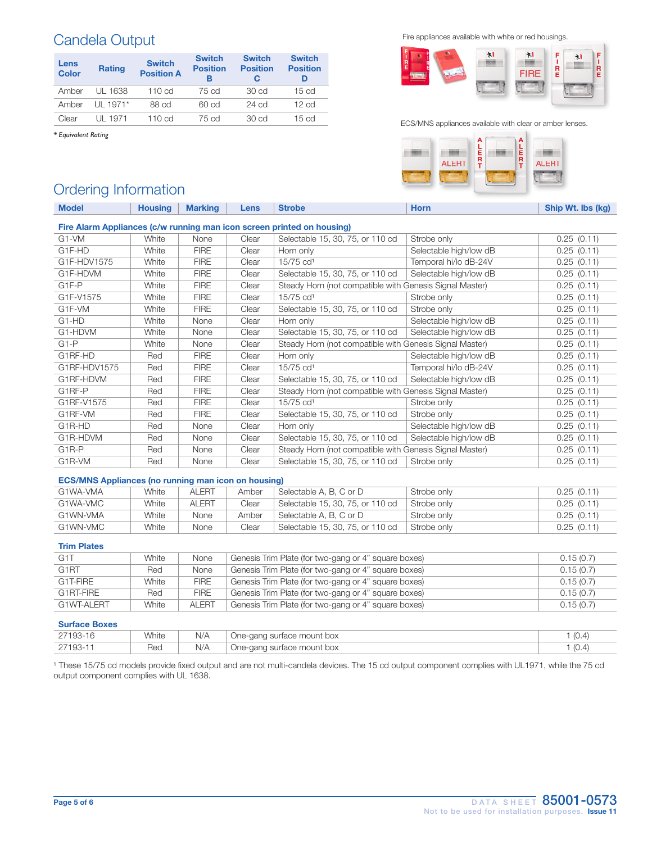## Candela Output

| Lens<br><b>Color</b> | <b>Rating</b> | <b>Switch</b><br><b>Position A</b> | <b>Switch</b><br><b>Position</b><br>в | <b>Switch</b><br><b>Position</b> | <b>Switch</b><br><b>Position</b><br>D |
|----------------------|---------------|------------------------------------|---------------------------------------|----------------------------------|---------------------------------------|
| Amber                | UL 1638       | 110 cd                             | 75 cd                                 | 30 cd                            | 15 <sub>cd</sub>                      |
| Amber                | $U1 1971*$    | 88 cd                              | 60 cd                                 | $24$ cd                          | 12 <sub>cd</sub>                      |
| Clear                | UL 1971       | 110 cd                             | 75 cd                                 | 30 <sub>cd</sub>                 | 15 <sub>cd</sub>                      |

*\* Equivalent Rating*

Fire appliances available with white or red housings.



#### ECS/MNS appliances available with clear or amber lenses.



### Ordering Information

| <b>Model</b>                                                           | <b>Housing</b> | <b>Marking</b> | Lens  | <b>Strobe</b>                                           | <b>Horn</b>            | Ship Wt. Ibs (kg) |  |  |
|------------------------------------------------------------------------|----------------|----------------|-------|---------------------------------------------------------|------------------------|-------------------|--|--|
| Fire Alarm Appliances (c/w running man icon screen printed on housing) |                |                |       |                                                         |                        |                   |  |  |
| G1-VM                                                                  | White          | None           | Clear | Selectable 15, 30, 75, or 110 cd                        | Strobe only            | 0.25(0.11)        |  |  |
| G1F-HD                                                                 | White          | <b>FIRE</b>    | Clear | Horn only                                               | Selectable high/low dB | 0.25(0.11)        |  |  |
| G1F-HDV1575                                                            | White          | <b>FIRE</b>    | Clear | 15/75 cd <sup>1</sup>                                   | Temporal hi/lo dB-24V  | 0.25(0.11)        |  |  |
| G1F-HDVM                                                               | White          | <b>FIRE</b>    | Clear | Selectable 15, 30, 75, or 110 cd                        | Selectable high/low dB | 0.25(0.11)        |  |  |
| G <sub>1F-P</sub>                                                      | White          | <b>FIRE</b>    | Clear | Steady Horn (not compatible with Genesis Signal Master) |                        | 0.25(0.11)        |  |  |
| G1F-V1575                                                              | White          | <b>FIRE</b>    | Clear | 15/75 cd <sup>1</sup>                                   | Strobe only            | 0.25(0.11)        |  |  |
| G1F-VM                                                                 | White          | <b>FIRE</b>    | Clear | Selectable 15, 30, 75, or 110 cd                        | Strobe only            | 0.25(0.11)        |  |  |
| G1-HD                                                                  | White          | None           | Clear | Horn only                                               | Selectable high/low dB | 0.25(0.11)        |  |  |
| G1-HDVM                                                                | White          | None           | Clear | Selectable 15, 30, 75, or 110 cd                        | Selectable high/low dB | 0.25(0.11)        |  |  |
| $G1-P$                                                                 | White          | None           | Clear | Steady Horn (not compatible with Genesis Signal Master) |                        | 0.25(0.11)        |  |  |
| G1RF-HD                                                                | Red            | <b>FIRE</b>    | Clear | Horn only                                               | Selectable high/low dB | 0.25(0.11)        |  |  |
| G1RF-HDV1575                                                           | Red            | <b>FIRE</b>    | Clear | 15/75 cd <sup>1</sup>                                   | Temporal hi/lo dB-24V  | 0.25(0.11)        |  |  |
| G1RF-HDVM                                                              | Red            | <b>FIRE</b>    | Clear | Selectable 15, 30, 75, or 110 cd                        | Selectable high/low dB | 0.25(0.11)        |  |  |
| G1RF-P                                                                 | Red            | <b>FIRE</b>    | Clear | Steady Horn (not compatible with Genesis Signal Master) |                        | 0.25(0.11)        |  |  |
| G1RF-V1575                                                             | Red            | <b>FIRE</b>    | Clear | 15/75 cd <sup>1</sup>                                   | Strobe only            | 0.25(0.11)        |  |  |
| G1RF-VM                                                                | Red            | <b>FIRE</b>    | Clear | Selectable 15, 30, 75, or 110 cd                        | Strobe only            | 0.25(0.11)        |  |  |
| G1R-HD                                                                 | Red            | None           | Clear | Horn only                                               | Selectable high/low dB | 0.25(0.11)        |  |  |
| G1R-HDVM                                                               | Red            | None           | Clear | Selectable 15, 30, 75, or 110 cd                        | Selectable high/low dB | 0.25(0.11)        |  |  |
| G <sub>1</sub> R-P                                                     | Red            | None           | Clear | Steady Horn (not compatible with Genesis Signal Master) |                        | 0.25(0.11)        |  |  |
| G1R-VM                                                                 | Red            | None           | Clear | Selectable 15, 30, 75, or 110 cd                        | Strobe only            | 0.25(0.11)        |  |  |

#### ECS/MNS Appliances (no running man icon on housing)

| G1WA-VMA | White | <b>ALERT</b> | Amber | Selectable A. B. C or D          | Strobe only | 0.25(0.11) |
|----------|-------|--------------|-------|----------------------------------|-------------|------------|
| G1WA-VMC | White | <b>ALERT</b> | Clear | Selectable 15, 30, 75, or 110 cd | Strobe only | 0.25(0.11) |
| G1WN-VMA | White | None         | Amber | Selectable A, B, C or D          | Strobe only | 0.25(0.11) |
| G1WN-VMC | White | None         | Clear | Selectable 15, 30, 75, or 110 cd | Strobe only | 0.25(0.11) |

#### Trim Plates

| G <sub>1</sub> T  | White | None         | Genesis Trim Plate (for two-gang or 4" square boxes) | 0.15(0.7) |
|-------------------|-------|--------------|------------------------------------------------------|-----------|
| G <sub>1</sub> RT | Red   | None         | Genesis Trim Plate (for two-gang or 4" square boxes) | 0.15(0.7) |
| G1T-FIRE          | White | <b>FIRE</b>  | Genesis Trim Plate (for two-gang or 4" square boxes) | 0.15(0.7) |
| G1RT-FIRE         | Red   | <b>FIRE</b>  | Genesis Trim Plate (for two-gang or 4" square boxes) | 0.15(0.7) |
| G1WT-ALERT        | White | <b>ALERT</b> | Genesis Trim Plate (for two-gang or 4" square boxes) | 0.15(0.7) |

#### Surface Boxes

| _____________ |       |     |                            |                                   |
|---------------|-------|-----|----------------------------|-----------------------------------|
| $27193 - 1$   | White | N/A | One-gang surface mount box | $\sqrt{2}$<br>(∪. <i>∽</i>        |
| $27193 -$     | Red   | N/A | One-gang surface mount box | $\sqrt{2}$<br>. IU. <sup>47</sup> |

<sup>1</sup> These 15/75 cd models provide fixed output and are not multi-candela devices. The 15 cd output component complies with UL1971, while the 75 cd output component complies with UL 1638.